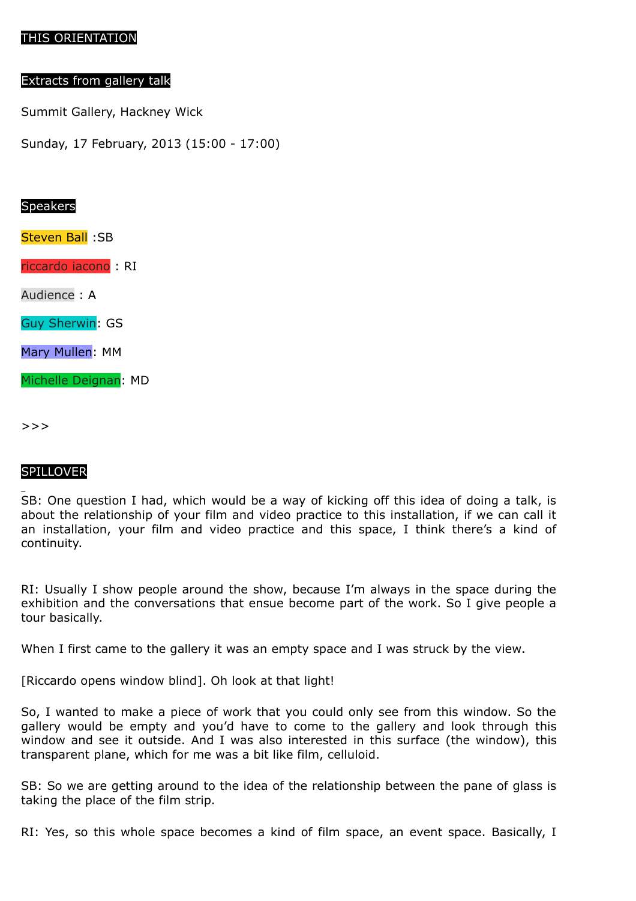# THIS ORIENTATION

### Extracts from gallery talk

Summit Gallery, Hackney Wick

Sunday, 17 February, 2013 (15:00 - 17:00)

## Speakers

Steven Ball :SB

riccardo iacono : RI

Audience : A

Guy Sherwin: GS

Mary Mullen: MM

Michelle Deignan: MD

>>>

# SPILLOVER

SB: One question I had, which would be a way of kicking off this idea of doing a talk, is about the relationship of your film and video practice to this installation, if we can call it an installation, your film and video practice and this space, I think there's a kind of continuity.

RI: Usually I show people around the show, because I'm always in the space during the exhibition and the conversations that ensue become part of the work. So I give people a tour basically.

When I first came to the gallery it was an empty space and I was struck by the view.

[Riccardo opens window blind]. Oh look at that light!

So, I wanted to make a piece of work that you could only see from this window. So the gallery would be empty and you'd have to come to the gallery and look through this window and see it outside. And I was also interested in this surface (the window), this transparent plane, which for me was a bit like film, celluloid.

SB: So we are getting around to the idea of the relationship between the pane of glass is taking the place of the film strip.

RI: Yes, so this whole space becomes a kind of film space, an event space. Basically, I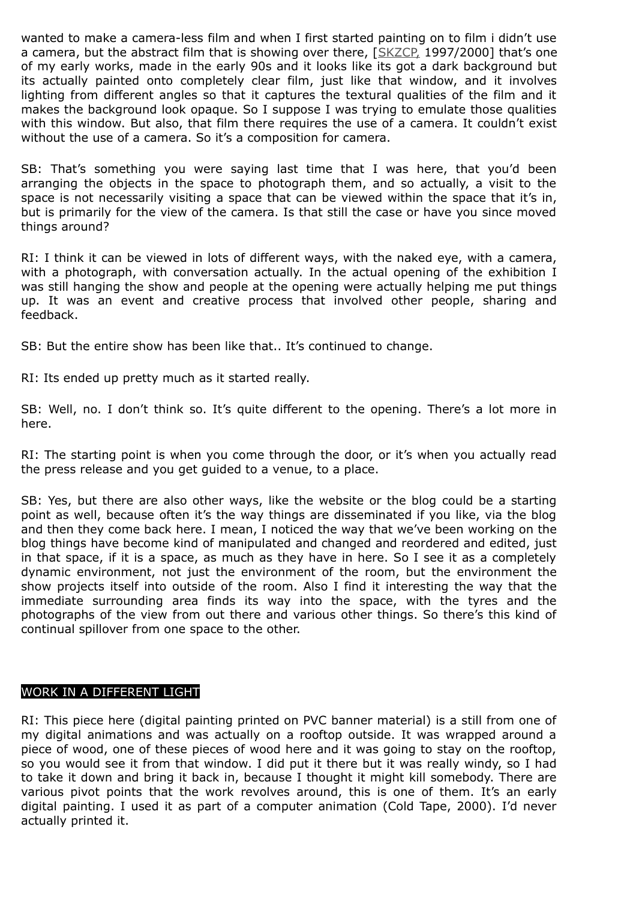wanted to make a camera-less film and when I first started painting on to film i didn't use a camera, but the abstract film that is showing over there, [\[SKZCP,](http://www.riccardoiacono.co.uk/projects/skzcp/) 1997/2000] that's one of my early works, made in the early 90s and it looks like its got a dark background but its actually painted onto completely clear film, just like that window, and it involves lighting from different angles so that it captures the textural qualities of the film and it makes the background look opaque. So I suppose I was trying to emulate those qualities with this window. But also, that film there requires the use of a camera. It couldn't exist without the use of a camera. So it's a composition for camera.

SB: That's something you were saying last time that I was here, that you'd been arranging the objects in the space to photograph them, and so actually, a visit to the space is not necessarily visiting a space that can be viewed within the space that it's in, but is primarily for the view of the camera. Is that still the case or have you since moved things around?

RI: I think it can be viewed in lots of different ways, with the naked eye, with a camera, with a photograph, with conversation actually. In the actual opening of the exhibition I was still hanging the show and people at the opening were actually helping me put things up. It was an event and creative process that involved other people, sharing and feedback.

SB: But the entire show has been like that.. It's continued to change.

RI: Its ended up pretty much as it started really.

SB: Well, no. I don't think so. It's quite different to the opening. There's a lot more in here.

RI: The starting point is when you come through the door, or it's when you actually read the press release and you get guided to a venue, to a place.

SB: Yes, but there are also other ways, like the website or the blog could be a starting point as well, because often it's the way things are disseminated if you like, via the blog and then they come back here. I mean, I noticed the way that we've been working on the blog things have become kind of manipulated and changed and reordered and edited, just in that space, if it is a space, as much as they have in here. So I see it as a completely dynamic environment, not just the environment of the room, but the environment the show projects itself into outside of the room. Also I find it interesting the way that the immediate surrounding area finds its way into the space, with the tyres and the photographs of the view from out there and various other things. So there's this kind of continual spillover from one space to the other.

# WORK IN A DIFFERENT LIGHT

RI: This piece here (digital painting printed on PVC banner material) is a still from one of my digital animations and was actually on a rooftop outside. It was wrapped around a piece of wood, one of these pieces of wood here and it was going to stay on the rooftop, so you would see it from that window. I did put it there but it was really windy, so I had to take it down and bring it back in, because I thought it might kill somebody. There are various pivot points that the work revolves around, this is one of them. It's an early digital painting. I used it as part of a computer animation (Cold Tape, 2000). I'd never actually printed it.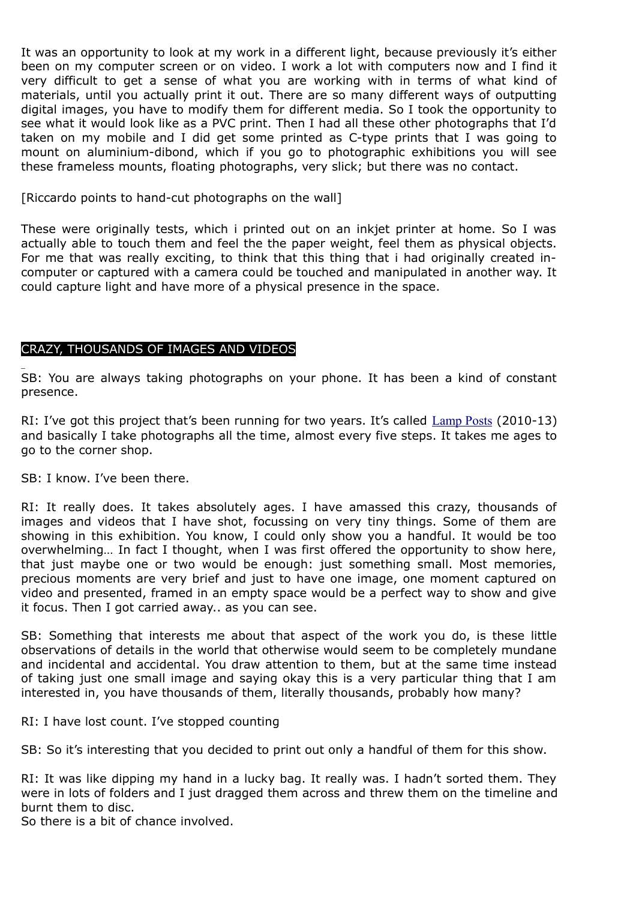It was an opportunity to look at my work in a different light, because previously it's either been on my computer screen or on video. I work a lot with computers now and I find it very difficult to get a sense of what you are working with in terms of what kind of materials, until you actually print it out. There are so many different ways of outputting digital images, you have to modify them for different media. So I took the opportunity to see what it would look like as a PVC print. Then I had all these other photographs that I'd taken on my mobile and I did get some printed as C-type prints that I was going to mount on aluminium-dibond, which if you go to photographic exhibitions you will see these frameless mounts, floating photographs, very slick; but there was no contact.

[Riccardo points to hand-cut photographs on the wall]

These were originally tests, which i printed out on an inkjet printer at home. So I was actually able to touch them and feel the the paper weight, feel them as physical objects. For me that was really exciting, to think that this thing that i had originally created incomputer or captured with a camera could be touched and manipulated in another way. It could capture light and have more of a physical presence in the space.

# CRAZY, THOUSANDS OF IMAGES AND VIDEOS

SB: You are always taking photographs on your phone. It has been a kind of constant presence.

RI: I've got this project that's been running for two years. It's called [Lamp Posts](http://www.riccardoiacono.co.uk/projects/lampposts) (2010-13) and basically I take photographs all the time, almost every five steps. It takes me ages to go to the corner shop.

SB: I know. I've been there.

RI: It really does. It takes absolutely ages. I have amassed this crazy, thousands of images and videos that I have shot, focussing on very tiny things. Some of them are showing in this exhibition. You know, I could only show you a handful. It would be too overwhelming… In fact I thought, when I was first offered the opportunity to show here, that just maybe one or two would be enough: just something small. Most memories, precious moments are very brief and just to have one image, one moment captured on video and presented, framed in an empty space would be a perfect way to show and give it focus. Then I got carried away.. as you can see.

SB: Something that interests me about that aspect of the work you do, is these little observations of details in the world that otherwise would seem to be completely mundane and incidental and accidental. You draw attention to them, but at the same time instead of taking just one small image and saying okay this is a very particular thing that I am interested in, you have thousands of them, literally thousands, probably how many?

RI: I have lost count. I've stopped counting

SB: So it's interesting that you decided to print out only a handful of them for this show.

RI: It was like dipping my hand in a lucky bag. It really was. I hadn't sorted them. They were in lots of folders and I just dragged them across and threw them on the timeline and burnt them to disc.

So there is a bit of chance involved.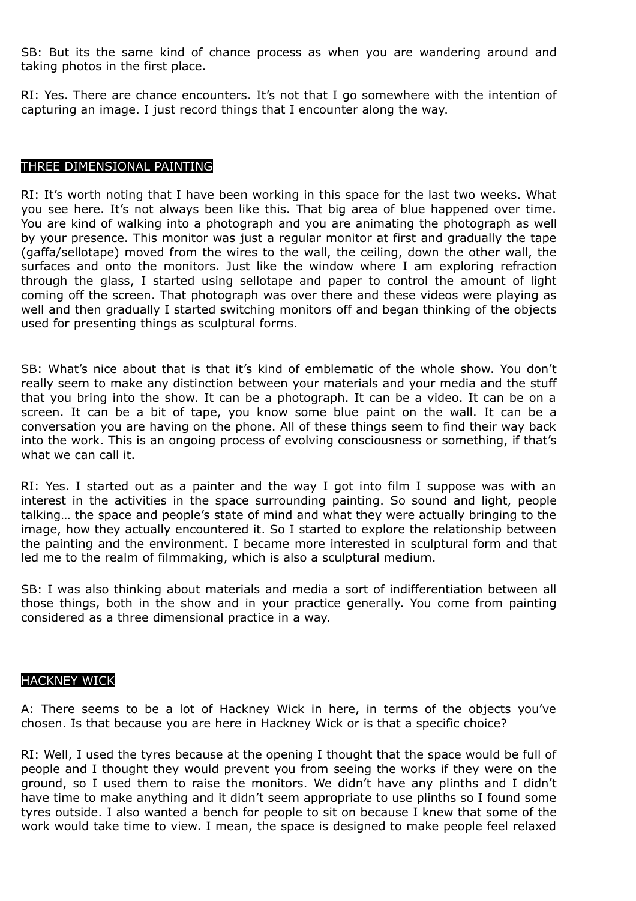SB: But its the same kind of chance process as when you are wandering around and taking photos in the first place.

RI: Yes. There are chance encounters. It's not that I go somewhere with the intention of capturing an image. I just record things that I encounter along the way.

### THREE DIMENSIONAL PAINTING

RI: It's worth noting that I have been working in this space for the last two weeks. What you see here. It's not always been like this. That big area of blue happened over time. You are kind of walking into a photograph and you are animating the photograph as well by your presence. This monitor was just a regular monitor at first and gradually the tape (gaffa/sellotape) moved from the wires to the wall, the ceiling, down the other wall, the surfaces and onto the monitors. Just like the window where I am exploring refraction through the glass, I started using sellotape and paper to control the amount of light coming off the screen. That photograph was over there and these videos were playing as well and then gradually I started switching monitors off and began thinking of the objects used for presenting things as sculptural forms.

SB: What's nice about that is that it's kind of emblematic of the whole show. You don't really seem to make any distinction between your materials and your media and the stuff that you bring into the show. It can be a photograph. It can be a video. It can be on a screen. It can be a bit of tape, you know some blue paint on the wall. It can be a conversation you are having on the phone. All of these things seem to find their way back into the work. This is an ongoing process of evolving consciousness or something, if that's what we can call it.

RI: Yes. I started out as a painter and the way I got into film I suppose was with an interest in the activities in the space surrounding painting. So sound and light, people talking… the space and people's state of mind and what they were actually bringing to the image, how they actually encountered it. So I started to explore the relationship between the painting and the environment. I became more interested in sculptural form and that led me to the realm of filmmaking, which is also a sculptural medium.

SB: I was also thinking about materials and media a sort of indifferentiation between all those things, both in the show and in your practice generally. You come from painting considered as a three dimensional practice in a way.

#### HACKNEY WICK

A: There seems to be a lot of Hackney Wick in here, in terms of the objects you've chosen. Is that because you are here in Hackney Wick or is that a specific choice?

RI: Well, I used the tyres because at the opening I thought that the space would be full of people and I thought they would prevent you from seeing the works if they were on the ground, so I used them to raise the monitors. We didn't have any plinths and I didn't have time to make anything and it didn't seem appropriate to use plinths so I found some tyres outside. I also wanted a bench for people to sit on because I knew that some of the work would take time to view. I mean, the space is designed to make people feel relaxed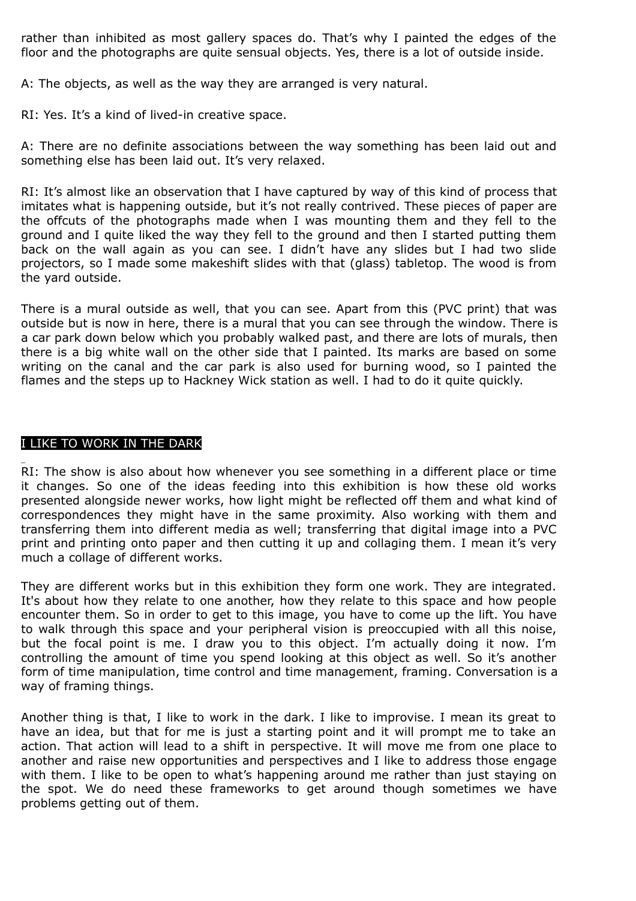rather than inhibited as most gallery spaces do. That's why I painted the edges of the floor and the photographs are quite sensual objects. Yes, there is a lot of outside inside.

A: The objects, as well as the way they are arranged is very natural.

RI: Yes. It's a kind of lived-in creative space.

A: There are no definite associations between the way something has been laid out and something else has been laid out. It's very relaxed.

RI: It's almost like an observation that I have captured by way of this kind of process that imitates what is happening outside, but it's not really contrived. These pieces of paper are the offcuts of the photographs made when I was mounting them and they fell to the ground and I quite liked the way they fell to the ground and then I started putting them back on the wall again as you can see. I didn't have any slides but I had two slide projectors, so I made some makeshift slides with that (glass) tabletop. The wood is from the yard outside.

There is a mural outside as well, that you can see. Apart from this (PVC print) that was outside but is now in here, there is a mural that you can see through the window. There is a car park down below which you probably walked past, and there are lots of murals, then there is a big white wall on the other side that I painted. Its marks are based on some writing on the canal and the car park is also used for burning wood, so I painted the flames and the steps up to Hackney Wick station as well. I had to do it quite quickly.

# I LIKE TO WORK IN THE DARK

RI: The show is also about how whenever you see something in a different place or time it changes. So one of the ideas feeding into this exhibition is how these old works presented alongside newer works, how light might be reflected off them and what kind of correspondences they might have in the same proximity. Also working with them and transferring them into different media as well; transferring that digital image into a PVC print and printing onto paper and then cutting it up and collaging them. I mean it's very much a collage of different works.

They are different works but in this exhibition they form one work. They are integrated. It's about how they relate to one another, how they relate to this space and how people encounter them. So in order to get to this image, you have to come up the lift. You have to walk through this space and your peripheral vision is preoccupied with all this noise, but the focal point is me. I draw you to this object. I'm actually doing it now. I'm controlling the amount of time you spend looking at this object as well. So it's another form of time manipulation, time control and time management, framing. Conversation is a way of framing things.

Another thing is that, I like to work in the dark. I like to improvise. I mean its great to have an idea, but that for me is just a starting point and it will prompt me to take an action. That action will lead to a shift in perspective. It will move me from one place to another and raise new opportunities and perspectives and I like to address those engage with them. I like to be open to what's happening around me rather than just staying on the spot. We do need these frameworks to get around though sometimes we have problems getting out of them.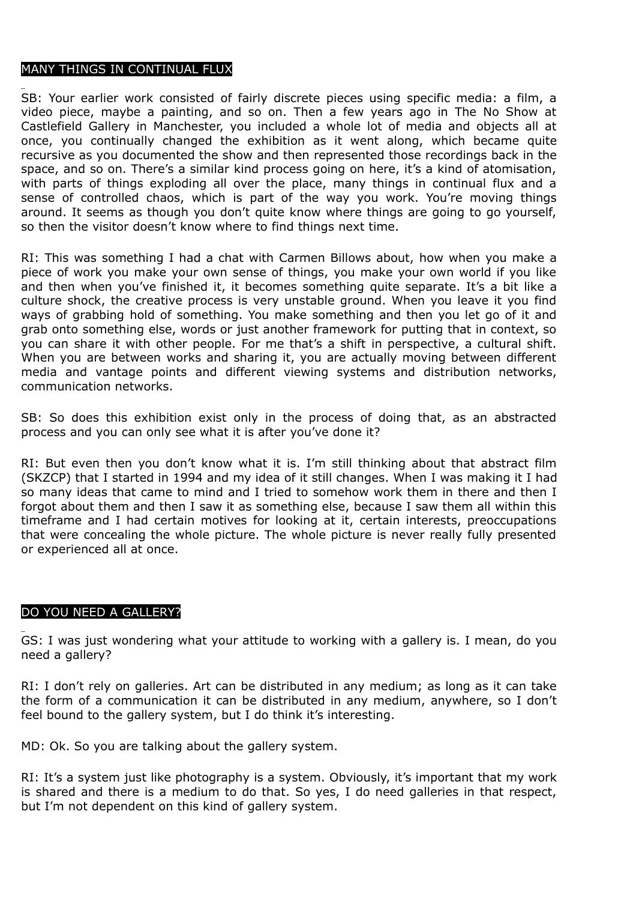# MANY THINGS IN CONTINUAL FLUX

SB: Your earlier work consisted of fairly discrete pieces using specific media: a film, a video piece, maybe a painting, and so on. Then a few years ago in The No Show at Castlefield Gallery in Manchester, you included a whole lot of media and objects all at once, you continually changed the exhibition as it went along, which became quite recursive as you documented the show and then represented those recordings back in the space, and so on. There's a similar kind process going on here, it's a kind of atomisation, with parts of things exploding all over the place, many things in continual flux and a sense of controlled chaos, which is part of the way you work. You're moving things around. It seems as though you don't quite know where things are going to go yourself, so then the visitor doesn't know where to find things next time.

RI: This was something I had a chat with Carmen Billows about, how when you make a piece of work you make your own sense of things, you make your own world if you like and then when you've finished it, it becomes something quite separate. It's a bit like a culture shock, the creative process is very unstable ground. When you leave it you find ways of grabbing hold of something. You make something and then you let go of it and grab onto something else, words or just another framework for putting that in context, so you can share it with other people. For me that's a shift in perspective, a cultural shift. When you are between works and sharing it, you are actually moving between different media and vantage points and different viewing systems and distribution networks, communication networks.

SB: So does this exhibition exist only in the process of doing that, as an abstracted process and you can only see what it is after you've done it?

RI: But even then you don't know what it is. I'm still thinking about that abstract film (SKZCP) that I started in 1994 and my idea of it still changes. When I was making it I had so many ideas that came to mind and I tried to somehow work them in there and then I forgot about them and then I saw it as something else, because I saw them all within this timeframe and I had certain motives for looking at it, certain interests, preoccupations that were concealing the whole picture. The whole picture is never really fully presented or experienced all at once.

# DO YOU NEED A GALLERY?

GS: I was just wondering what your attitude to working with a gallery is. I mean, do you need a gallery?

RI: I don't rely on galleries. Art can be distributed in any medium; as long as it can take the form of a communication it can be distributed in any medium, anywhere, so I don't feel bound to the gallery system, but I do think it's interesting.

MD: Ok. So you are talking about the gallery system.

RI: It's a system just like photography is a system. Obviously, it's important that my work is shared and there is a medium to do that. So yes, I do need galleries in that respect, but I'm not dependent on this kind of gallery system.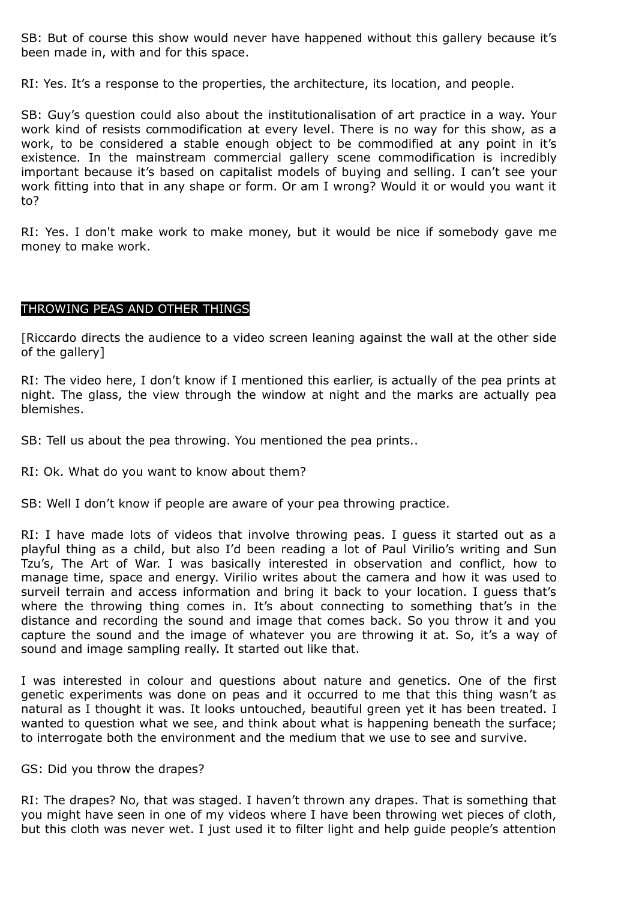SB: But of course this show would never have happened without this gallery because it's been made in, with and for this space.

RI: Yes. It's a response to the properties, the architecture, its location, and people.

SB: Guy's question could also about the institutionalisation of art practice in a way. Your work kind of resists commodification at every level. There is no way for this show, as a work, to be considered a stable enough object to be commodified at any point in it's existence. In the mainstream commercial gallery scene commodification is incredibly important because it's based on capitalist models of buying and selling. I can't see your work fitting into that in any shape or form. Or am I wrong? Would it or would you want it to?

RI: Yes. I don't make work to make money, but it would be nice if somebody gave me money to make work.

### THROWING PEAS AND OTHER THINGS

[Riccardo directs the audience to a video screen leaning against the wall at the other side of the gallery]

RI: The video here, I don't know if I mentioned this earlier, is actually of the pea prints at night. The glass, the view through the window at night and the marks are actually pea blemishes.

SB: Tell us about the pea throwing. You mentioned the pea prints..

RI: Ok. What do you want to know about them?

SB: Well I don't know if people are aware of your pea throwing practice.

RI: I have made lots of videos that involve throwing peas. I guess it started out as a playful thing as a child, but also I'd been reading a lot of Paul Virilio's writing and Sun Tzu's, The Art of War. I was basically interested in observation and conflict, how to manage time, space and energy. Virilio writes about the camera and how it was used to surveil terrain and access information and bring it back to your location. I guess that's where the throwing thing comes in. It's about connecting to something that's in the distance and recording the sound and image that comes back. So you throw it and you capture the sound and the image of whatever you are throwing it at. So, it's a way of sound and image sampling really. It started out like that.

I was interested in colour and questions about nature and genetics. One of the first genetic experiments was done on peas and it occurred to me that this thing wasn't as natural as I thought it was. It looks untouched, beautiful green yet it has been treated. I wanted to question what we see, and think about what is happening beneath the surface; to interrogate both the environment and the medium that we use to see and survive.

#### GS: Did you throw the drapes?

RI: The drapes? No, that was staged. I haven't thrown any drapes. That is something that you might have seen in one of my videos where I have been throwing wet pieces of cloth, but this cloth was never wet. I just used it to filter light and help guide people's attention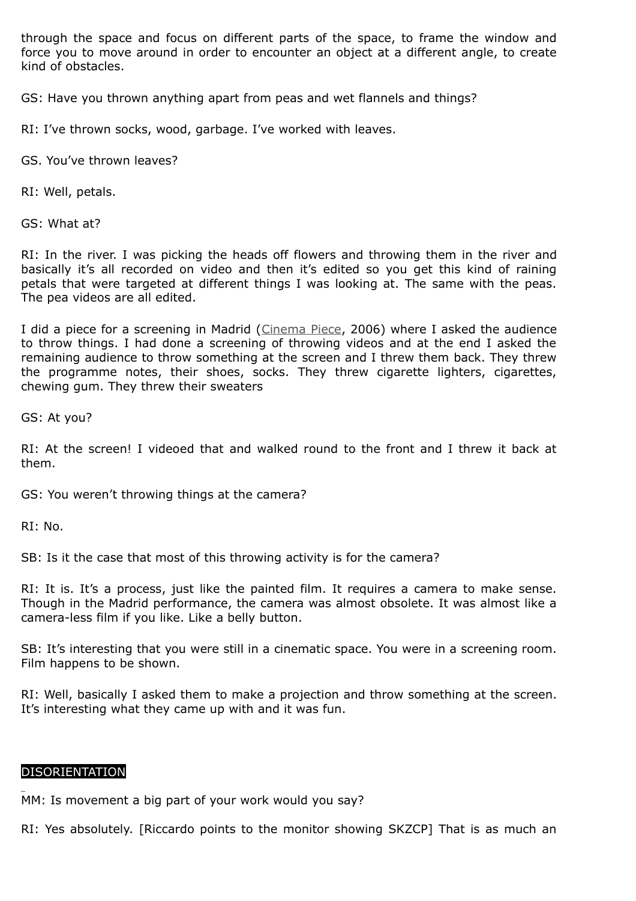through the space and focus on different parts of the space, to frame the window and force you to move around in order to encounter an object at a different angle, to create kind of obstacles.

GS: Have you thrown anything apart from peas and wet flannels and things?

RI: I've thrown socks, wood, garbage. I've worked with leaves.

GS. You've thrown leaves?

RI: Well, petals.

GS: What at?

RI: In the river. I was picking the heads off flowers and throwing them in the river and basically it's all recorded on video and then it's edited so you get this kind of raining petals that were targeted at different things I was looking at. The same with the peas. The pea videos are all edited.

I did a piece for a screening in Madrid [\(Cinema Piece,](http://www.riccardoiacono.co.uk/projects/shooqui/cinemapiece) 2006) where I asked the audience to throw things. I had done a screening of throwing videos and at the end I asked the remaining audience to throw something at the screen and I threw them back. They threw the programme notes, their shoes, socks. They threw cigarette lighters, cigarettes, chewing gum. They threw their sweaters

GS: At you?

RI: At the screen! I videoed that and walked round to the front and I threw it back at them.

GS: You weren't throwing things at the camera?

RI: No.

SB: Is it the case that most of this throwing activity is for the camera?

RI: It is. It's a process, just like the painted film. It requires a camera to make sense. Though in the Madrid performance, the camera was almost obsolete. It was almost like a camera-less film if you like. Like a belly button.

SB: It's interesting that you were still in a cinematic space. You were in a screening room. Film happens to be shown.

RI: Well, basically I asked them to make a projection and throw something at the screen. It's interesting what they came up with and it was fun.

### DISORIENTATION

MM: Is movement a big part of your work would you say?

RI: Yes absolutely. [Riccardo points to the monitor showing SKZCP] That is as much an